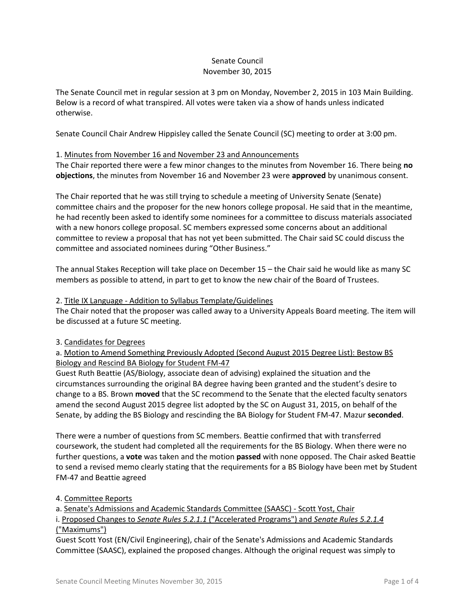# Senate Council November 30, 2015

The Senate Council met in regular session at 3 pm on Monday, November 2, 2015 in 103 Main Building. Below is a record of what transpired. All votes were taken via a show of hands unless indicated otherwise.

Senate Council Chair Andrew Hippisley called the Senate Council (SC) meeting to order at 3:00 pm.

### 1. Minutes from November 16 and November 23 and Announcements

The Chair reported there were a few minor changes to the minutes from November 16. There being **no objections**, the minutes from November 16 and November 23 were **approved** by unanimous consent.

The Chair reported that he was still trying to schedule a meeting of University Senate (Senate) committee chairs and the proposer for the new honors college proposal. He said that in the meantime, he had recently been asked to identify some nominees for a committee to discuss materials associated with a new honors college proposal. SC members expressed some concerns about an additional committee to review a proposal that has not yet been submitted. The Chair said SC could discuss the committee and associated nominees during "Other Business."

The annual Stakes Reception will take place on December 15 – the Chair said he would like as many SC members as possible to attend, in part to get to know the new chair of the Board of Trustees.

#### 2. Title IX Language - Addition to Syllabus Template/Guidelines

The Chair noted that the proposer was called away to a University Appeals Board meeting. The item will be discussed at a future SC meeting.

# 3. Candidates for Degrees

# a. Motion to Amend Something Previously Adopted (Second August 2015 Degree List): Bestow BS Biology and Rescind BA Biology for Student FM-47

Guest Ruth Beattie (AS/Biology, associate dean of advising) explained the situation and the circumstances surrounding the original BA degree having been granted and the student's desire to change to a BS. Brown **moved** that the SC recommend to the Senate that the elected faculty senators amend the second August 2015 degree list adopted by the SC on August 31, 2015, on behalf of the Senate, by adding the BS Biology and rescinding the BA Biology for Student FM-47. Mazur **seconded**.

There were a number of questions from SC members. Beattie confirmed that with transferred coursework, the student had completed all the requirements for the BS Biology. When there were no further questions, a **vote** was taken and the motion **passed** with none opposed. The Chair asked Beattie to send a revised memo clearly stating that the requirements for a BS Biology have been met by Student FM-47 and Beattie agreed

# 4. Committee Reports

a. Senate's Admissions and Academic Standards Committee (SAASC) - Scott Yost, Chair

i. Proposed Changes to *Senate Rules 5.2.1.1* ("Accelerated Programs") and *Senate Rules 5.2.1.4* ("Maximums")

Guest Scott Yost (EN/Civil Engineering), chair of the Senate's Admissions and Academic Standards Committee (SAASC), explained the proposed changes. Although the original request was simply to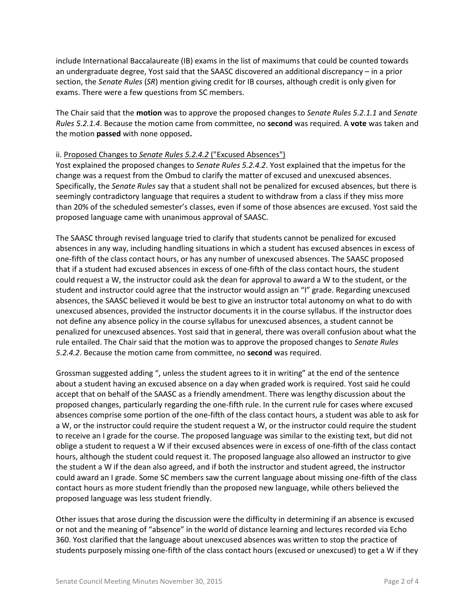include International Baccalaureate (IB) exams in the list of maximums that could be counted towards an undergraduate degree, Yost said that the SAASC discovered an additional discrepancy – in a prior section, the *Senate Rules* (*SR*) mention giving credit for IB courses, although credit is only given for exams. There were a few questions from SC members.

The Chair said that the **motion** was to approve the proposed changes to *Senate Rules 5.2.1.1* and *Senate Rules 5.2.1.4*. Because the motion came from committee, no **second** was required. A **vote** was taken and the motion **passed** with none opposed**.**

# ii. Proposed Changes to *Senate Rules 5.2.4.2* ("Excused Absences")

Yost explained the proposed changes to *Senate Rules 5.2.4.2*. Yost explained that the impetus for the change was a request from the Ombud to clarify the matter of excused and unexcused absences. Specifically, the *Senate Rules* say that a student shall not be penalized for excused absences, but there is seemingly contradictory language that requires a student to withdraw from a class if they miss more than 20% of the scheduled semester's classes, even if some of those absences are excused. Yost said the proposed language came with unanimous approval of SAASC.

The SAASC through revised language tried to clarify that students cannot be penalized for excused absences in any way, including handling situations in which a student has excused absences in excess of one-fifth of the class contact hours, or has any number of unexcused absences. The SAASC proposed that if a student had excused absences in excess of one-fifth of the class contact hours, the student could request a W, the instructor could ask the dean for approval to award a W to the student, or the student and instructor could agree that the instructor would assign an "I" grade. Regarding unexcused absences, the SAASC believed it would be best to give an instructor total autonomy on what to do with unexcused absences, provided the instructor documents it in the course syllabus. If the instructor does not define any absence policy in the course syllabus for unexcused absences, a student cannot be penalized for unexcused absences. Yost said that in general, there was overall confusion about what the rule entailed. The Chair said that the motion was to approve the proposed changes to *Senate Rules 5.2.4.2*. Because the motion came from committee, no **second** was required.

Grossman suggested adding ", unless the student agrees to it in writing" at the end of the sentence about a student having an excused absence on a day when graded work is required. Yost said he could accept that on behalf of the SAASC as a friendly amendment. There was lengthy discussion about the proposed changes, particularly regarding the one-fifth rule. In the current rule for cases where excused absences comprise some portion of the one-fifth of the class contact hours, a student was able to ask for a W, or the instructor could require the student request a W, or the instructor could require the student to receive an I grade for the course. The proposed language was similar to the existing text, but did not oblige a student to request a W if their excused absences were in excess of one-fifth of the class contact hours, although the student could request it. The proposed language also allowed an instructor to give the student a W if the dean also agreed, and if both the instructor and student agreed, the instructor could award an I grade. Some SC members saw the current language about missing one-fifth of the class contact hours as more student friendly than the proposed new language, while others believed the proposed language was less student friendly.

Other issues that arose during the discussion were the difficulty in determining if an absence is excused or not and the meaning of "absence" in the world of distance learning and lectures recorded via Echo 360. Yost clarified that the language about unexcused absences was written to stop the practice of students purposely missing one-fifth of the class contact hours (excused or unexcused) to get a W if they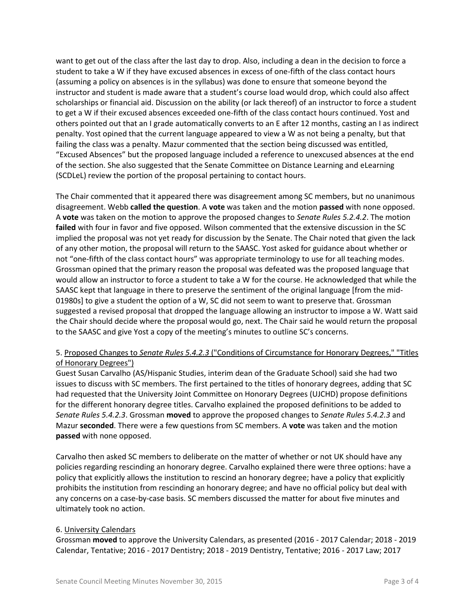want to get out of the class after the last day to drop. Also, including a dean in the decision to force a student to take a W if they have excused absences in excess of one-fifth of the class contact hours (assuming a policy on absences is in the syllabus) was done to ensure that someone beyond the instructor and student is made aware that a student's course load would drop, which could also affect scholarships or financial aid. Discussion on the ability (or lack thereof) of an instructor to force a student to get a W if their excused absences exceeded one-fifth of the class contact hours continued. Yost and others pointed out that an I grade automatically converts to an E after 12 months, casting an I as indirect penalty. Yost opined that the current language appeared to view a W as not being a penalty, but that failing the class was a penalty. Mazur commented that the section being discussed was entitled, "Excused Absences" but the proposed language included a reference to unexcused absences at the end of the section. She also suggested that the Senate Committee on Distance Learning and eLearning (SCDLeL) review the portion of the proposal pertaining to contact hours.

The Chair commented that it appeared there was disagreement among SC members, but no unanimous disagreement. Webb **called the question**. A **vote** was taken and the motion **passed** with none opposed. A **vote** was taken on the motion to approve the proposed changes to *Senate Rules 5.2.4.2*. The motion **failed** with four in favor and five opposed. Wilson commented that the extensive discussion in the SC implied the proposal was not yet ready for discussion by the Senate. The Chair noted that given the lack of any other motion, the proposal will return to the SAASC. Yost asked for guidance about whether or not "one-fifth of the class contact hours" was appropriate terminology to use for all teaching modes. Grossman opined that the primary reason the proposal was defeated was the proposed language that would allow an instructor to force a student to take a W for the course. He acknowledged that while the SAASC kept that language in there to preserve the sentiment of the original language [from the mid-01980s] to give a student the option of a W, SC did not seem to want to preserve that. Grossman suggested a revised proposal that dropped the language allowing an instructor to impose a W. Watt said the Chair should decide where the proposal would go, next. The Chair said he would return the proposal to the SAASC and give Yost a copy of the meeting's minutes to outline SC's concerns.

# 5. Proposed Changes to *Senate Rules 5.4.2.3* ("Conditions of Circumstance for Honorary Degrees," "Titles of Honorary Degrees")

Guest Susan Carvalho (AS/Hispanic Studies, interim dean of the Graduate School) said she had two issues to discuss with SC members. The first pertained to the titles of honorary degrees, adding that SC had requested that the University Joint Committee on Honorary Degrees (UJCHD) propose definitions for the different honorary degree titles. Carvalho explained the proposed definitions to be added to *Senate Rules 5.4.2.3*. Grossman **moved** to approve the proposed changes to *Senate Rules 5.4.2.3* and Mazur **seconded**. There were a few questions from SC members. A **vote** was taken and the motion **passed** with none opposed.

Carvalho then asked SC members to deliberate on the matter of whether or not UK should have any policies regarding rescinding an honorary degree. Carvalho explained there were three options: have a policy that explicitly allows the institution to rescind an honorary degree; have a policy that explicitly prohibits the institution from rescinding an honorary degree; and have no official policy but deal with any concerns on a case-by-case basis. SC members discussed the matter for about five minutes and ultimately took no action.

# 6. University Calendars

Grossman **moved** to approve the University Calendars, as presented (2016 - 2017 Calendar; 2018 - 2019 Calendar, Tentative; 2016 - 2017 Dentistry; 2018 - 2019 Dentistry, Tentative; 2016 - 2017 Law; 2017